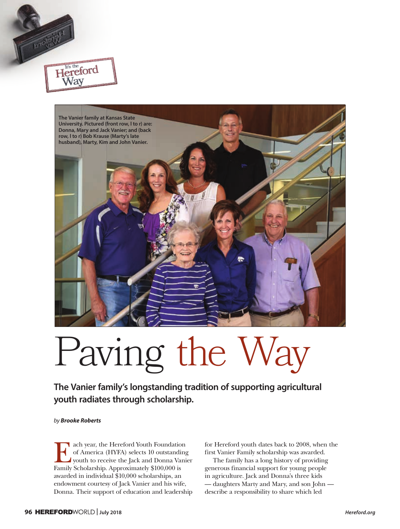

## Paving the Way

**The Vanier family's longstanding tradition of supporting agricultural youth radiates through scholarship.**

*by Brooke Roberts*

Hereford Way

Each year, the Hereford Youth Foundation<br>of America (HYFA) selects 10 outstanding<br>youth to receive the Jack and Donna Vani<br>Family Scholarship Approximately \$100,000 is of America (HYFA) selects 10 outstanding youth to receive the Jack and Donna Vanier Family Scholarship. Approximately \$100,000 is awarded in individual \$10,000 scholarships, an endowment courtesy of Jack Vanier and his wife, Donna. Their support of education and leadership

for Hereford youth dates back to 2008, when the first Vanier Family scholarship was awarded.

The family has a long history of providing generous financial support for young people in agriculture. Jack and Donna's three kids — daughters Marty and Mary, and son John describe a responsibility to share which led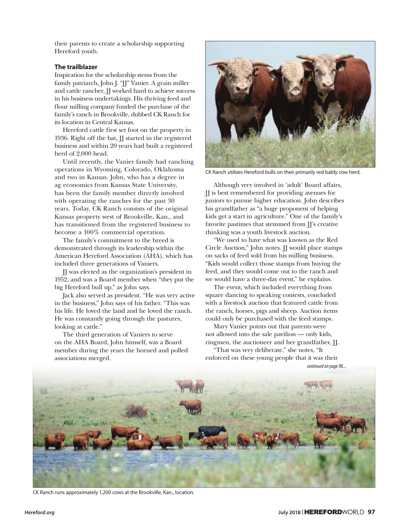their parents to create a scholarship supporting Hereford youth.

## **The trailblazer**

Inspiration for the scholarship stems from the family patriarch, John J. "JJ" Vanier. A grain miller and cattle rancher, JJ worked hard to achieve success in his business undertakings. His thriving feed and flour milling company funded the purchase of the family's ranch in Brookville, dubbed CK Ranch for its location in Central Kansas.

Hereford cattle first set foot on the property in 1936. Right off the bat, JJ started in the registered business and within 20 years had built a registered herd of 2,000 head.

Until recently, the Vanier family had ranching operations in Wyoming, Colorado, Oklahoma and two in Kansas. John, who has a degree in ag economics from Kansas State University, has been the family member directly involved with operating the ranches for the past 30 years. Today, CK Ranch consists of the original Kansas property west of Brookville, Kan., and has transitioned from the registered business to become a 100% commercial operation.

The family's commitment to the breed is demonstrated through its leadership within the American Hereford Association (AHA), which has included three generations of Vaniers.

JJ was elected as the organization's president in 1952, and was a Board member when "they put the big Hereford bull up," as John says.

Jack also served as president. "He was very active in the business," John says of his father. "This was his life. He loved the land and he loved the ranch. He was constantly going through the pastures, looking at cattle."

The third generation of Vaniers to serve on the AHA Board, John himself, was a Board member during the years the horned and polled associations merged.



CK Ranch utilizes Hereford bulls on their primarily red baldy cow herd.

Although very involved in 'adult' Board affairs, JJ is best remembered for providing avenues for juniors to pursue higher education. John describes his grandfather as "a huge proponent of helping kids get a start in agriculture." One of the family's favorite pastimes that stemmed from JJ's creative thinking was a youth livestock auction.

"We used to have what was known as the Red Circle Auction," John notes. JJ would place stamps on sacks of feed sold from his milling business. "Kids would collect those stamps from buying the feed, and they would come out to the ranch and we would have a three-day event," he explains.

The event, which included everything from square dancing to speaking contests, concluded with a livestock auction that featured cattle from the ranch, horses, pigs and sheep. Auction items could only be purchased with the feed stamps.

Mary Vanier points out that parents were not allowed into the sale pavilion — only kids, ringmen, the auctioneer and her grandfather, JJ.

"That was very deliberate," she notes, "It enforced on these young people that it was their

*continued on page 98...*



CK Ranch runs approximately 1,200 cows at the Brookville, Kan., location.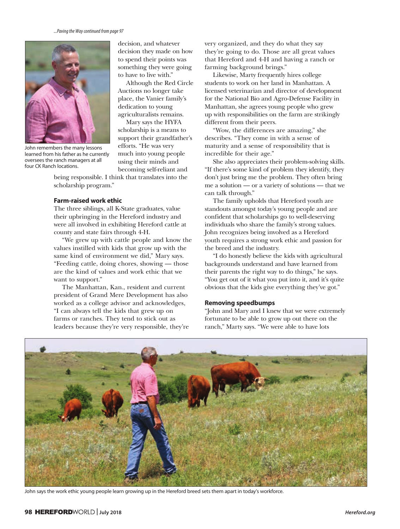*...Paving the Way continued from page 97*



John remembers the many lessons learned from his father as he currently oversees the ranch managers at all four CK Ranch locations.

decision, and whatever decision they made on how to spend their points was something they were going to have to live with."

Although the Red Circle Auctions no longer take place, the Vanier family's dedication to young agriculturalists remains.

Mary says the HYFA scholarship is a means to support their grandfather's efforts. "He was very much into young people using their minds and becoming self-reliant and

being responsible. I think that translates into the scholarship program."

## **Farm-raised work ethic**

The three siblings, all K-State graduates, value their upbringing in the Hereford industry and were all involved in exhibiting Hereford cattle at county and state fairs through 4-H.

"We grew up with cattle people and know the values instilled with kids that grow up with the same kind of environment we did," Mary says. "Feeding cattle, doing chores, showing — those are the kind of values and work ethic that we want to support."

The Manhattan, Kan., resident and current president of Grand Mere Development has also worked as a college advisor and acknowledges, "I can always tell the kids that grew up on farms or ranches. They tend to stick out as leaders because they're very responsible, they're

very organized, and they do what they say they're going to do. Those are all great values that Hereford and 4-H and having a ranch or farming background brings."

Likewise, Marty frequently hires college students to work on her land in Manhattan. A licensed veterinarian and director of development for the National Bio and Agro-Defense Facility in Manhattan, she agrees young people who grew up with responsibilities on the farm are strikingly different from their peers.

"Wow, the differences are amazing," she describes. "They come in with a sense of maturity and a sense of responsibility that is incredible for their age."

She also appreciates their problem-solving skills. "If there's some kind of problem they identify, they don't just bring me the problem. They often bring me a solution — or a variety of solutions — that we can talk through."

The family upholds that Hereford youth are standouts amongst today's young people and are confident that scholarships go to well-deserving individuals who share the family's strong values. John recognizes being involved as a Hereford youth requires a strong work ethic and passion for the breed and the industry.

"I do honestly believe the kids with agricultural backgrounds understand and have learned from their parents the right way to do things," he says. "You get out of it what you put into it, and it's quite obvious that the kids give everything they've got."

## **Removing speedbumps**

"John and Mary and I knew that we were extremely fortunate to be able to grow up out there on the ranch," Marty says. "We were able to have lots



John says the work ethic young people learn growing up in the Hereford breed sets them apart in today's workforce.